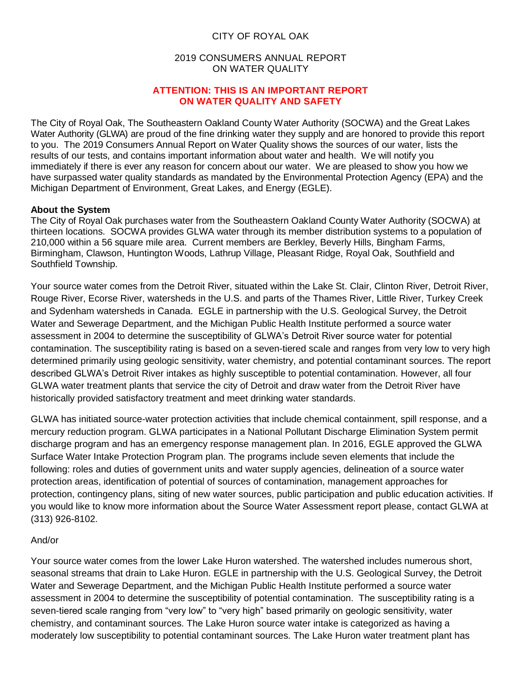# CITY OF ROYAL OAK

## 2019 CONSUMERS ANNUAL REPORT ON WATER QUALITY

#### **ATTENTION: THIS IS AN IMPORTANT REPORT ON WATER QUALITY AND SAFETY**

The City of Royal Oak, The Southeastern Oakland County Water Authority (SOCWA) and the Great Lakes Water Authority (GLWA) are proud of the fine drinking water they supply and are honored to provide this report to you. The 2019 Consumers Annual Report on Water Quality shows the sources of our water, lists the results of our tests, and contains important information about water and health. We will notify you immediately if there is ever any reason for concern about our water. We are pleased to show you how we have surpassed water quality standards as mandated by the Environmental Protection Agency (EPA) and the Michigan Department of Environment, Great Lakes, and Energy (EGLE).

# **About the System**

The City of Royal Oak purchases water from the Southeastern Oakland County Water Authority (SOCWA) at thirteen locations. SOCWA provides GLWA water through its member distribution systems to a population of 210,000 within a 56 square mile area. Current members are Berkley, Beverly Hills, Bingham Farms, Birmingham, Clawson, Huntington Woods, Lathrup Village, Pleasant Ridge, Royal Oak, Southfield and Southfield Township.

Your source water comes from the Detroit River, situated within the Lake St. Clair, Clinton River, Detroit River, Rouge River, Ecorse River, watersheds in the U.S. and parts of the Thames River, Little River, Turkey Creek and Sydenham watersheds in Canada. EGLE in partnership with the U.S. Geological Survey, the Detroit Water and Sewerage Department, and the Michigan Public Health Institute performed a source water assessment in 2004 to determine the susceptibility of GLWA's Detroit River source water for potential contamination. The susceptibility rating is based on a seven-tiered scale and ranges from very low to very high determined primarily using geologic sensitivity, water chemistry, and potential contaminant sources. The report described GLWA's Detroit River intakes as highly susceptible to potential contamination. However, all four GLWA water treatment plants that service the city of Detroit and draw water from the Detroit River have historically provided satisfactory treatment and meet drinking water standards.

GLWA has initiated source-water protection activities that include chemical containment, spill response, and a mercury reduction program. GLWA participates in a National Pollutant Discharge Elimination System permit discharge program and has an emergency response management plan. In 2016, EGLE approved the GLWA Surface Water Intake Protection Program plan. The programs include seven elements that include the following: roles and duties of government units and water supply agencies, delineation of a source water protection areas, identification of potential of sources of contamination, management approaches for protection, contingency plans, siting of new water sources, public participation and public education activities. If you would like to know more information about the Source Water Assessment report please, contact GLWA at (313) 926-8102.

#### And/or

Your source water comes from the lower Lake Huron watershed. The watershed includes numerous short, seasonal streams that drain to Lake Huron. EGLE in partnership with the U.S. Geological Survey, the Detroit Water and Sewerage Department, and the Michigan Public Health Institute performed a source water assessment in 2004 to determine the susceptibility of potential contamination. The susceptibility rating is a seven-tiered scale ranging from "very low" to "very high" based primarily on geologic sensitivity, water chemistry, and contaminant sources. The Lake Huron source water intake is categorized as having a moderately low susceptibility to potential contaminant sources. The Lake Huron water treatment plant has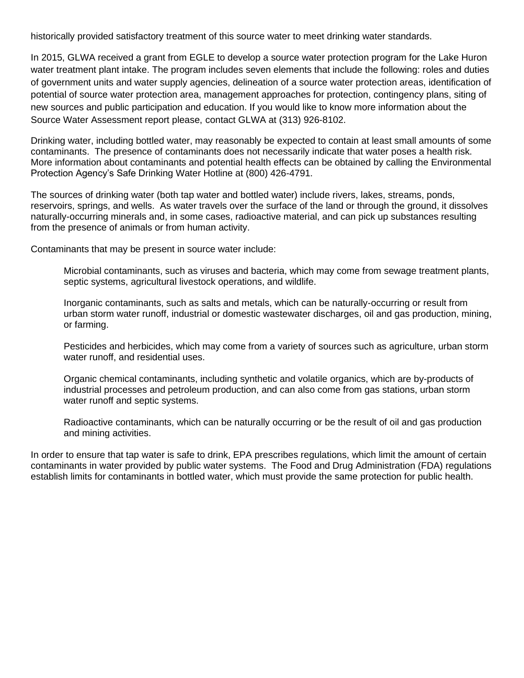historically provided satisfactory treatment of this source water to meet drinking water standards.

In 2015, GLWA received a grant from EGLE to develop a source water protection program for the Lake Huron water treatment plant intake. The program includes seven elements that include the following: roles and duties of government units and water supply agencies, delineation of a source water protection areas, identification of potential of source water protection area, management approaches for protection, contingency plans, siting of new sources and public participation and education. If you would like to know more information about the Source Water Assessment report please, contact GLWA at (313) 926-8102.

Drinking water, including bottled water, may reasonably be expected to contain at least small amounts of some contaminants. The presence of contaminants does not necessarily indicate that water poses a health risk. More information about contaminants and potential health effects can be obtained by calling the Environmental Protection Agency's Safe Drinking Water Hotline at (800) 426-4791.

The sources of drinking water (both tap water and bottled water) include rivers, lakes, streams, ponds, reservoirs, springs, and wells. As water travels over the surface of the land or through the ground, it dissolves naturally-occurring minerals and, in some cases, radioactive material, and can pick up substances resulting from the presence of animals or from human activity.

Contaminants that may be present in source water include:

Microbial contaminants, such as viruses and bacteria, which may come from sewage treatment plants, septic systems, agricultural livestock operations, and wildlife.

Inorganic contaminants, such as salts and metals, which can be naturally-occurring or result from urban storm water runoff, industrial or domestic wastewater discharges, oil and gas production, mining, or farming.

Pesticides and herbicides, which may come from a variety of sources such as agriculture, urban storm water runoff, and residential uses.

Organic chemical contaminants, including synthetic and volatile organics, which are by-products of industrial processes and petroleum production, and can also come from gas stations, urban storm water runoff and septic systems.

Radioactive contaminants, which can be naturally occurring or be the result of oil and gas production and mining activities.

In order to ensure that tap water is safe to drink, EPA prescribes regulations, which limit the amount of certain contaminants in water provided by public water systems. The Food and Drug Administration (FDA) regulations establish limits for contaminants in bottled water, which must provide the same protection for public health.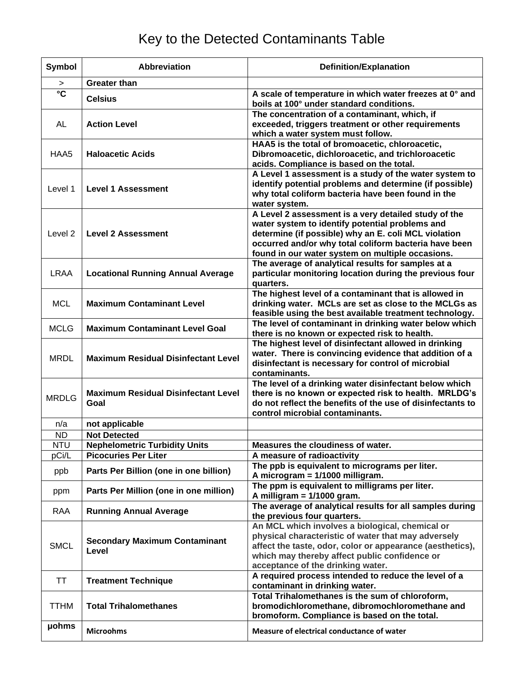# Key to the Detected Contaminants Table

| Symbol                | <b>Abbreviation</b>                                | <b>Definition/Explanation</b>                                                                                                                                                                                                                                                |
|-----------------------|----------------------------------------------------|------------------------------------------------------------------------------------------------------------------------------------------------------------------------------------------------------------------------------------------------------------------------------|
| $\, >$                | <b>Greater than</b>                                |                                                                                                                                                                                                                                                                              |
| $\overline{\text{c}}$ | <b>Celsius</b>                                     | A scale of temperature in which water freezes at 0° and<br>boils at 100° under standard conditions.                                                                                                                                                                          |
| AL                    | <b>Action Level</b>                                | The concentration of a contaminant, which, if<br>exceeded, triggers treatment or other requirements<br>which a water system must follow.                                                                                                                                     |
| HAA5                  | <b>Haloacetic Acids</b>                            | HAA5 is the total of bromoacetic, chloroacetic,<br>Dibromoacetic, dichloroacetic, and trichloroacetic<br>acids. Compliance is based on the total.                                                                                                                            |
| Level 1               | <b>Level 1 Assessment</b>                          | A Level 1 assessment is a study of the water system to<br>identify potential problems and determine (if possible)<br>why total coliform bacteria have been found in the<br>water system.                                                                                     |
| Level <sub>2</sub>    | <b>Level 2 Assessment</b>                          | A Level 2 assessment is a very detailed study of the<br>water system to identify potential problems and<br>determine (if possible) why an E. coli MCL violation<br>occurred and/or why total coliform bacteria have been<br>found in our water system on multiple occasions. |
| <b>LRAA</b>           | <b>Locational Running Annual Average</b>           | The average of analytical results for samples at a<br>particular monitoring location during the previous four<br>quarters.                                                                                                                                                   |
| <b>MCL</b>            | <b>Maximum Contaminant Level</b>                   | The highest level of a contaminant that is allowed in<br>drinking water. MCLs are set as close to the MCLGs as<br>feasible using the best available treatment technology.                                                                                                    |
| <b>MCLG</b>           | <b>Maximum Contaminant Level Goal</b>              | The level of contaminant in drinking water below which<br>there is no known or expected risk to health.                                                                                                                                                                      |
| <b>MRDL</b>           | <b>Maximum Residual Disinfectant Level</b>         | The highest level of disinfectant allowed in drinking<br>water. There is convincing evidence that addition of a<br>disinfectant is necessary for control of microbial<br>contaminants.                                                                                       |
| <b>MRDLG</b>          | <b>Maximum Residual Disinfectant Level</b><br>Goal | The level of a drinking water disinfectant below which<br>there is no known or expected risk to health. MRLDG's<br>do not reflect the benefits of the use of disinfectants to<br>control microbial contaminants.                                                             |
| n/a                   | not applicable                                     |                                                                                                                                                                                                                                                                              |
| <b>ND</b>             | <b>Not Detected</b>                                |                                                                                                                                                                                                                                                                              |
| <b>NTU</b>            | <b>Nephelometric Turbidity Units</b>               | Measures the cloudiness of water.                                                                                                                                                                                                                                            |
| pCi/L                 | <b>Picocuries Per Liter</b>                        | A measure of radioactivity                                                                                                                                                                                                                                                   |
| ppb                   | Parts Per Billion (one in one billion)             | The ppb is equivalent to micrograms per liter.<br>A microgram = 1/1000 milligram.                                                                                                                                                                                            |
| ppm                   | Parts Per Million (one in one million)             | The ppm is equivalent to milligrams per liter.<br>A milligram = $1/1000$ gram.                                                                                                                                                                                               |
| <b>RAA</b>            | <b>Running Annual Average</b>                      | The average of analytical results for all samples during<br>the previous four quarters.                                                                                                                                                                                      |
| <b>SMCL</b>           | <b>Secondary Maximum Contaminant</b><br>Level      | An MCL which involves a biological, chemical or<br>physical characteristic of water that may adversely<br>affect the taste, odor, color or appearance (aesthetics),<br>which may thereby affect public confidence or<br>acceptance of the drinking water.                    |
| TT                    | <b>Treatment Technique</b>                         | A required process intended to reduce the level of a<br>contaminant in drinking water.                                                                                                                                                                                       |
| <b>TTHM</b>           | <b>Total Trihalomethanes</b>                       | Total Trihalomethanes is the sum of chloroform,<br>bromodichloromethane, dibromochloromethane and<br>bromoform. Compliance is based on the total.                                                                                                                            |
| <b>µohms</b>          | <b>Microohms</b>                                   | Measure of electrical conductance of water                                                                                                                                                                                                                                   |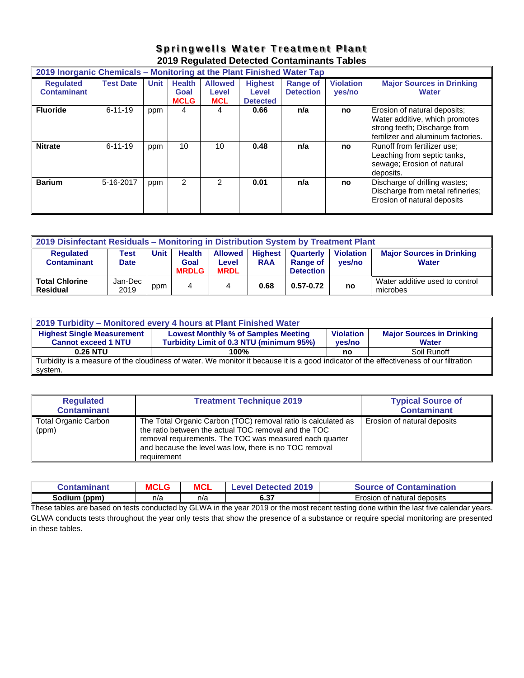# **Springwells Water Treatment Plant 2019 Regulated Detected Contaminants Tables**

| 2019 Inorganic Chemicals - Monitoring at the Plant Finished Water Tap |                  |             |                                      |                                       |                                            |                              |                            |                                                                                                                                      |
|-----------------------------------------------------------------------|------------------|-------------|--------------------------------------|---------------------------------------|--------------------------------------------|------------------------------|----------------------------|--------------------------------------------------------------------------------------------------------------------------------------|
| <b>Requlated</b><br><b>Contaminant</b>                                | <b>Test Date</b> | <b>Unit</b> | <b>Health</b><br>Goal<br><b>MCLG</b> | <b>Allowed</b><br>Level<br><b>MCL</b> | <b>Highest</b><br>Level<br><b>Detected</b> | Range of<br><b>Detection</b> | <b>Violation</b><br>yes/no | <b>Major Sources in Drinking</b><br><b>Water</b>                                                                                     |
| <b>Fluoride</b>                                                       | $6 - 11 - 19$    | ppm         | 4                                    | 4                                     | 0.66                                       | n/a                          | no                         | Erosion of natural deposits;<br>Water additive, which promotes<br>strong teeth; Discharge from<br>fertilizer and aluminum factories. |
| <b>Nitrate</b>                                                        | $6 - 11 - 19$    | ppm         | 10                                   | 10                                    | 0.48                                       | n/a                          | no                         | Runoff from fertilizer use:<br>Leaching from septic tanks,<br>sewage; Erosion of natural<br>deposits.                                |
| <b>Barium</b>                                                         | 5-16-2017        | ppm         | $\overline{2}$                       | 2                                     | 0.01                                       | n/a                          | no                         | Discharge of drilling wastes;<br>Discharge from metal refineries;<br>Erosion of natural deposits                                     |

| 2019 Disinfectant Residuals - Monitoring in Distribution System by Treatment Plant |                                                                                                                                                                                                                                                                                      |     |  |  |      |               |    |                                            |
|------------------------------------------------------------------------------------|--------------------------------------------------------------------------------------------------------------------------------------------------------------------------------------------------------------------------------------------------------------------------------------|-----|--|--|------|---------------|----|--------------------------------------------|
| <b>Requlated</b><br><b>Contaminant</b>                                             | <b>Unit</b><br><b>Health</b><br><b>Highest</b><br><b>Violation</b><br><b>Major Sources in Drinking</b><br><b>Allowed</b><br>Test<br>Quarterly<br>Goal<br><b>RAA</b><br><b>Water</b><br><b>Range of</b><br>ves/no<br>Date<br>Level<br><b>MRDLG</b><br><b>MRDL</b><br><b>Detection</b> |     |  |  |      |               |    |                                            |
| <b>Total Chlorine</b><br><b>Residual</b>                                           | Jan-Dec<br>2019                                                                                                                                                                                                                                                                      | ppm |  |  | 0.68 | $0.57 - 0.72$ | no | Water additive used to control<br>microbes |

| 2019 Turbidity - Monitored every 4 hours at Plant Finished Water                                                                        |                                                                    |    |             |  |  |  |  |
|-----------------------------------------------------------------------------------------------------------------------------------------|--------------------------------------------------------------------|----|-------------|--|--|--|--|
| <b>Major Sources in Drinking</b><br><b>Highest Single Measurement</b><br><b>Lowest Monthly % of Samples Meeting</b><br><b>Violation</b> |                                                                    |    |             |  |  |  |  |
| <b>Cannot exceed 1 NTU</b>                                                                                                              | Turbidity Limit of 0.3 NTU (minimum 95%)<br>ves/no<br><b>Water</b> |    |             |  |  |  |  |
| 0.26 NTU                                                                                                                                | 100%                                                               | no | Soil Runoff |  |  |  |  |
| Turbidity is a measure of the cloudiness of water. We monitor it because it is a good indicator of the effectiveness of our filtration  |                                                                    |    |             |  |  |  |  |
| system.                                                                                                                                 |                                                                    |    |             |  |  |  |  |

| <b>Regulated</b><br><b>Contaminant</b> | <b>Treatment Technique 2019</b>                                                                                                                                                                                                                           | <b>Typical Source of</b><br><b>Contaminant</b> |
|----------------------------------------|-----------------------------------------------------------------------------------------------------------------------------------------------------------------------------------------------------------------------------------------------------------|------------------------------------------------|
| <b>Total Organic Carbon</b><br>(ppm)   | The Total Organic Carbon (TOC) removal ratio is calculated as<br>the ratio between the actual TOC removal and the TOC<br>removal requirements. The TOC was measured each quarter<br>and because the level was low, there is no TOC removal<br>requirement | Erosion of natural deposits                    |

| Contaminant     | <b>MCLG</b> | <b>MCL</b> | Level Detected 2019 | <b>Source of Contamination</b>   |
|-----------------|-------------|------------|---------------------|----------------------------------|
| Sodium<br>(ppm) | n/a         | n/a        | <b>COT</b><br>0.JI  | Erosion<br>n of natural deposits |

These tables are based on tests conducted by GLWA in the year 2019 or the most recent testing done within the last five calendar years. GLWA conducts tests throughout the year only tests that show the presence of a substance or require special monitoring are presented in these tables.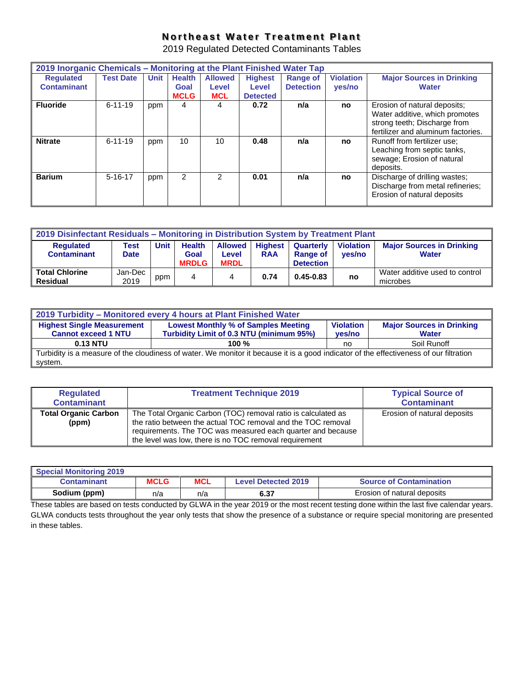# **Northeast Water Treatment Plant**

2019 Regulated Detected Contaminants Tables

| 2019 Inorganic Chemicals - Monitoring at the Plant Finished Water Tap |                  |             |               |                |                 |                  |                  |                                                                                                                                      |
|-----------------------------------------------------------------------|------------------|-------------|---------------|----------------|-----------------|------------------|------------------|--------------------------------------------------------------------------------------------------------------------------------------|
| <b>Requlated</b>                                                      | <b>Test Date</b> | <b>Unit</b> | <b>Health</b> | <b>Allowed</b> | <b>Highest</b>  | <b>Range of</b>  | <b>Violation</b> | <b>Major Sources in Drinking</b>                                                                                                     |
| <b>Contaminant</b>                                                    |                  |             | Goal          | Level          | Level           | <b>Detection</b> | yes/no           | <b>Water</b>                                                                                                                         |
|                                                                       |                  |             | <b>MCLG</b>   | <b>MCL</b>     | <b>Detected</b> |                  |                  |                                                                                                                                      |
| <b>Fluoride</b>                                                       | $6 - 11 - 19$    | ppm         | 4             | 4              | 0.72            | n/a              | no               | Erosion of natural deposits;<br>Water additive, which promotes<br>strong teeth; Discharge from<br>fertilizer and aluminum factories. |
| <b>Nitrate</b>                                                        | $6 - 11 - 19$    | ppm         | 10            | 10             | 0.48            | n/a              | no               | Runoff from fertilizer use;<br>Leaching from septic tanks,<br>sewage; Erosion of natural<br>deposits.                                |
| <b>Barium</b>                                                         | $5 - 16 - 17$    | ppm         | 2             | 2              | 0.01            | n/a              | no               | Discharge of drilling wastes;<br>Discharge from metal refineries;<br>Erosion of natural deposits                                     |

| 2019 Disinfectant Residuals - Monitoring in Distribution System by Treatment Plant                                                                                                                                                                                                                                      |                 |     |   |   |      |               |    |                                            |
|-------------------------------------------------------------------------------------------------------------------------------------------------------------------------------------------------------------------------------------------------------------------------------------------------------------------------|-----------------|-----|---|---|------|---------------|----|--------------------------------------------|
| <b>Major Sources in Drinking</b><br>Unit<br><b>Health</b><br><b>Highest</b><br><b>Violation</b><br><b>Allowed</b><br><b>Requlated</b><br>Quarterly<br>Test<br><b>Contaminant</b><br><b>RAA</b><br>Range of<br><b>Water</b><br>Goal<br><b>Date</b><br>ves/no<br>Level<br><b>MRDLG</b><br><b>MRDL</b><br><b>Detection</b> |                 |     |   |   |      |               |    |                                            |
| <b>Total Chlorine</b><br><b>Residual</b>                                                                                                                                                                                                                                                                                | Jan-Dec<br>2019 | ppm | 4 | 4 | 0.74 | $0.45 - 0.83$ | no | Water additive used to control<br>microbes |

| 2019 Turbidity - Monitored every 4 hours at Plant Finished Water                                                                                                                                                                            |         |    |             |  |  |  |  |
|---------------------------------------------------------------------------------------------------------------------------------------------------------------------------------------------------------------------------------------------|---------|----|-------------|--|--|--|--|
| <b>Highest Single Measurement</b><br><b>Major Sources in Drinking</b><br><b>Lowest Monthly % of Samples Meeting</b><br><b>Violation</b><br>Turbidity Limit of 0.3 NTU (minimum 95%)<br><b>Cannot exceed 1 NTU</b><br>ves/no<br><b>Water</b> |         |    |             |  |  |  |  |
| 0.13 NTU                                                                                                                                                                                                                                    | 100 $%$ | no | Soil Runoff |  |  |  |  |
| Turbidity is a measure of the cloudiness of water. We monitor it because it is a good indicator of the effectiveness of our filtration<br>svstem.                                                                                           |         |    |             |  |  |  |  |

| <b>Regulated</b><br><b>Contaminant</b> | <b>Treatment Technique 2019</b>                                                                                                                                                                                                                        | <b>Typical Source of</b><br><b>Contaminant</b> |
|----------------------------------------|--------------------------------------------------------------------------------------------------------------------------------------------------------------------------------------------------------------------------------------------------------|------------------------------------------------|
| <b>Total Organic Carbon</b><br>(ppm)   | The Total Organic Carbon (TOC) removal ratio is calculated as<br>the ratio between the actual TOC removal and the TOC removal<br>requirements. The TOC was measured each quarter and because<br>the level was low, there is no TOC removal requirement | Erosion of natural deposits                    |

| <b>Special Monitoring 2019</b> |             |            |                            |                                |
|--------------------------------|-------------|------------|----------------------------|--------------------------------|
| Contaminant                    | <b>MCLG</b> | <b>MCL</b> | <b>Level Detected 2019</b> | <b>Source of Contamination</b> |
| Sodium (ppm)                   | n/a         | n/a        | 6.37                       | Erosion of natural deposits    |

These tables are based on tests conducted by GLWA in the year 2019 or the most recent testing done within the last five calendar years. GLWA conducts tests throughout the year only tests that show the presence of a substance or require special monitoring are presented in these tables.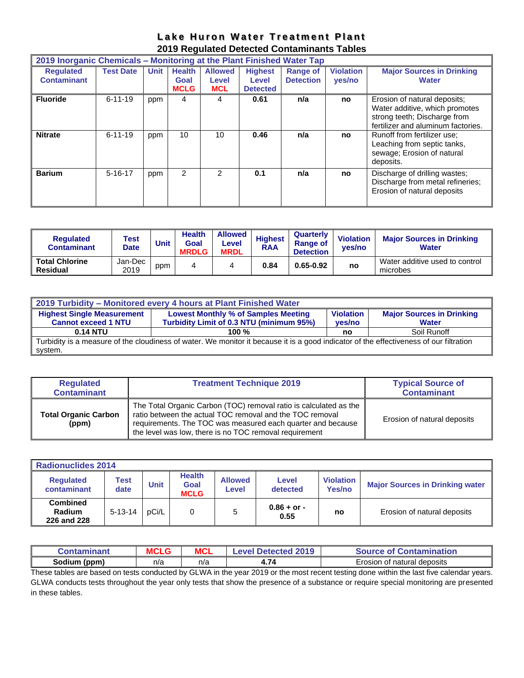|  | Lake Huron Water Treatment Plant            |  |
|--|---------------------------------------------|--|
|  | 2019 Regulated Detected Contaminants Tables |  |

|                                        | 2019 Inorganic Chemicals – Monitoring at the Plant Finished Water Tap |             |                                      |                                       |                                            |                                     |                            |                                                                                                                                      |  |  |
|----------------------------------------|-----------------------------------------------------------------------|-------------|--------------------------------------|---------------------------------------|--------------------------------------------|-------------------------------------|----------------------------|--------------------------------------------------------------------------------------------------------------------------------------|--|--|
| <b>Requlated</b><br><b>Contaminant</b> | <b>Test Date</b>                                                      | <b>Unit</b> | <b>Health</b><br>Goal<br><b>MCLG</b> | <b>Allowed</b><br>Level<br><b>MCL</b> | <b>Highest</b><br>Level<br><b>Detected</b> | <b>Range of</b><br><b>Detection</b> | <b>Violation</b><br>yes/no | <b>Major Sources in Drinking</b><br><b>Water</b>                                                                                     |  |  |
| <b>Fluoride</b>                        | $6 - 11 - 19$                                                         | ppm         | 4                                    | 4                                     | 0.61                                       | n/a                                 | no                         | Erosion of natural deposits:<br>Water additive, which promotes<br>strong teeth; Discharge from<br>fertilizer and aluminum factories. |  |  |
| <b>Nitrate</b>                         | $6 - 11 - 19$                                                         | ppm         | 10                                   | 10                                    | 0.46                                       | n/a                                 | no                         | Runoff from fertilizer use:<br>Leaching from septic tanks,<br>sewage; Erosion of natural<br>deposits.                                |  |  |
| <b>Barium</b>                          | $5 - 16 - 17$                                                         | ppm         | 2                                    | 2                                     | 0.1                                        | n/a                                 | no                         | Discharge of drilling wastes;<br>Discharge from metal refineries;<br>Erosion of natural deposits                                     |  |  |

| <b>Requlated</b><br><b>Contaminant</b>   | Test<br><b>Date</b> | <b>Unit</b> | <b>Health</b><br>Goal<br><b>MRDLG</b> | <b>Allowed</b><br>Level<br><b>MRDL</b> | <b>Highest</b><br><b>RAA</b> | Quarterly<br><b>Range of</b><br><b>Detection</b> | <b>Violation</b><br>ves/no | <b>Major Sources in Drinking</b><br><b>Water</b> |
|------------------------------------------|---------------------|-------------|---------------------------------------|----------------------------------------|------------------------------|--------------------------------------------------|----------------------------|--------------------------------------------------|
| <b>Total Chlorine</b><br><b>Residual</b> | Jan-Dec<br>2019     | ppm         |                                       | 4                                      | 0.84                         | $0.65 - 0.92$                                    | no                         | Water additive used to control<br>microbes       |

| 2019 Turbidity – Monitored every 4 hours at Plant Finished Water                                                                                                                                                                            |         |    |             |  |  |  |  |  |  |
|---------------------------------------------------------------------------------------------------------------------------------------------------------------------------------------------------------------------------------------------|---------|----|-------------|--|--|--|--|--|--|
| <b>Highest Single Measurement</b><br><b>Lowest Monthly % of Samples Meeting</b><br><b>Major Sources in Drinking</b><br><b>Violation</b><br>Turbidity Limit of 0.3 NTU (minimum 95%)<br><b>Cannot exceed 1 NTU</b><br>ves/no<br><b>Water</b> |         |    |             |  |  |  |  |  |  |
| $0.14$ NTU                                                                                                                                                                                                                                  | 100 $%$ | no | Soil Runoff |  |  |  |  |  |  |
| Turbidity is a measure of the cloudiness of water. We monitor it because it is a good indicator of the effectiveness of our filtration                                                                                                      |         |    |             |  |  |  |  |  |  |
| system.                                                                                                                                                                                                                                     |         |    |             |  |  |  |  |  |  |

| <b>Regulated</b><br><b>Contaminant</b> | <b>Treatment Technique 2019</b>                                                                                                                                                                                                                        | <b>Typical Source of</b><br><b>Contaminant</b> |
|----------------------------------------|--------------------------------------------------------------------------------------------------------------------------------------------------------------------------------------------------------------------------------------------------------|------------------------------------------------|
| <b>Total Organic Carbon</b><br>(ppm)   | The Total Organic Carbon (TOC) removal ratio is calculated as the<br>ratio between the actual TOC removal and the TOC removal<br>requirements. The TOC was measured each quarter and because<br>the level was low, there is no TOC removal requirement | Erosion of natural deposits                    |

| <b>Radionuclides 2014</b>                |               |             |                                             |                         |                       |                                   |                                        |  |  |
|------------------------------------------|---------------|-------------|---------------------------------------------|-------------------------|-----------------------|-----------------------------------|----------------------------------------|--|--|
| <b>Regulated</b><br>contaminant          | Test<br>date  | <b>Unit</b> | <b>Health</b><br><b>Goal</b><br><b>MCLG</b> | <b>Allowed</b><br>Level | Level<br>detected     | <b>Violation</b><br><b>Yes/no</b> | <b>Major Sources in Drinking water</b> |  |  |
| <b>Combined</b><br>Radium<br>226 and 228 | $5 - 13 - 14$ | pCi/L       | 0                                           |                         | $0.86 + or -$<br>0.55 | no                                | Erosion of natural deposits            |  |  |

| .<br><u>inant</u> | <b>MCLG</b> | <b>MCL</b> | 1 2019<br><b>Detected</b><br>evel. | วntamination<br>Source<br><b>ot</b><br>⊥.or |
|-------------------|-------------|------------|------------------------------------|---------------------------------------------|
| Sodium<br>(ppm)   | n/a         | n/a        | 4.74                               | t natural deposits<br>∠rosion<br>0t         |

These tables are based on tests conducted by GLWA in the year 2019 or the most recent testing done within the last five calendar years. GLWA conducts tests throughout the year only tests that show the presence of a substance or require special monitoring are presented in these tables.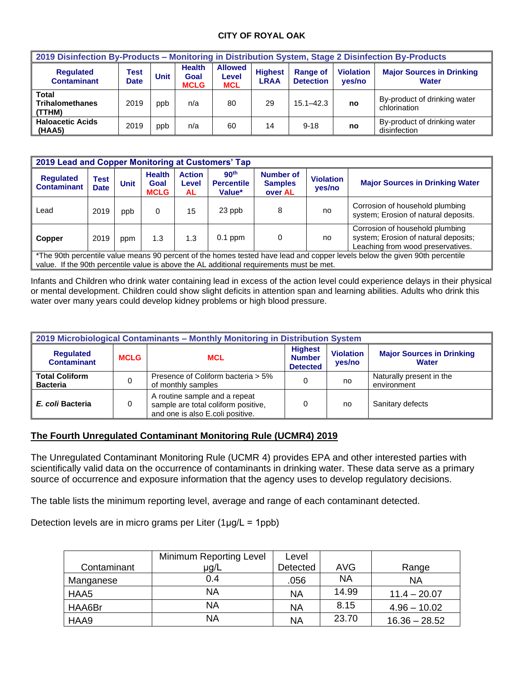#### **CITY OF ROYAL OAK**

| 2019 Disinfection By-Products - Monitoring in Distribution System, Stage 2 Disinfection By-Products |                     |             |                                      |                                       |                               |                                     |                            |                                                  |  |  |
|-----------------------------------------------------------------------------------------------------|---------------------|-------------|--------------------------------------|---------------------------------------|-------------------------------|-------------------------------------|----------------------------|--------------------------------------------------|--|--|
| <b>Requlated</b><br><b>Contaminant</b>                                                              | Test<br><b>Date</b> | <b>Unit</b> | <b>Health</b><br>Goal<br><b>MCLG</b> | <b>Allowed</b><br>Level<br><b>MCL</b> | <b>Highest</b><br><b>LRAA</b> | <b>Range of</b><br><b>Detection</b> | <b>Violation</b><br>ves/no | <b>Major Sources in Drinking</b><br><b>Water</b> |  |  |
| <b>Total</b><br><b>Trihalomethanes</b><br>(TTHM)                                                    | 2019                | ppb         | n/a                                  | 80                                    | 29                            | $15.1 - 42.3$                       | no                         | By-product of drinking water<br>chlorination     |  |  |
| <b>Haloacetic Acids</b><br>(HAA5)                                                                   | 2019                | ppb         | n/a                                  | 60                                    | 14                            | $9 - 18$                            | no                         | By-product of drinking water<br>disinfection     |  |  |

| 2019 Lead and Copper Monitoring at Customers' Tap                                                                                                                                                                       |                     |             |                                      |                               |                                                 |                                        |                            |                                                                                                              |  |  |  |
|-------------------------------------------------------------------------------------------------------------------------------------------------------------------------------------------------------------------------|---------------------|-------------|--------------------------------------|-------------------------------|-------------------------------------------------|----------------------------------------|----------------------------|--------------------------------------------------------------------------------------------------------------|--|--|--|
| <b>Regulated</b><br><b>Contaminant</b>                                                                                                                                                                                  | Test<br><b>Date</b> | <b>Unit</b> | <b>Health</b><br>Goal<br><b>MCLG</b> | <b>Action</b><br>Level<br>AL. | 90 <sup>th</sup><br><b>Percentile</b><br>Value* | Number of<br><b>Samples</b><br>over AL | <b>Violation</b><br>yes/no | <b>Major Sources in Drinking Water</b>                                                                       |  |  |  |
| Lead                                                                                                                                                                                                                    | 2019                | ppb         | 0                                    | 15                            | 23 ppb                                          | 8                                      | no                         | Corrosion of household plumbing<br>system; Erosion of natural deposits.                                      |  |  |  |
| <b>Copper</b>                                                                                                                                                                                                           | 2019                | ppm         | 1.3                                  | 1.3                           | $0.1$ ppm                                       | $\Omega$                               | no                         | Corrosion of household plumbing<br>system; Erosion of natural deposits;<br>Leaching from wood preservatives. |  |  |  |
| *The 90th percentile value means 90 percent of the homes tested have lead and copper levels below the given 90th percentile<br>value. If the 90th percentile value is above the AL additional requirements must be met. |                     |             |                                      |                               |                                                 |                                        |                            |                                                                                                              |  |  |  |

Infants and Children who drink water containing lead in excess of the action level could experience delays in their physical or mental development. Children could show slight deficits in attention span and learning abilities. Adults who drink this water over many years could develop kidney problems or high blood pressure.

| 2019 Microbiological Contaminants - Monthly Monitoring in Distribution System |             |                                                                                                          |                                                    |                            |                                                  |  |  |  |  |  |
|-------------------------------------------------------------------------------|-------------|----------------------------------------------------------------------------------------------------------|----------------------------------------------------|----------------------------|--------------------------------------------------|--|--|--|--|--|
| <b>Requlated</b><br><b>Contaminant</b>                                        | <b>MCLG</b> | <b>MCL</b>                                                                                               | <b>Highest</b><br><b>Number</b><br><b>Detected</b> | <b>Violation</b><br>yes/no | <b>Major Sources in Drinking</b><br><b>Water</b> |  |  |  |  |  |
| <b>Total Coliform</b><br><b>Bacteria</b>                                      |             | Presence of Coliform bacteria > 5%<br>of monthly samples                                                 |                                                    | no                         | Naturally present in the<br>environment          |  |  |  |  |  |
| E. coli Bacteria                                                              |             | A routine sample and a repeat<br>sample are total coliform positive,<br>and one is also E.coli positive. |                                                    | no                         | Sanitary defects                                 |  |  |  |  |  |

# **The Fourth Unregulated Contaminant Monitoring Rule (UCMR4) 2019**

The Unregulated Contaminant Monitoring Rule (UCMR 4) provides EPA and other interested parties with scientifically valid data on the occurrence of contaminants in drinking water. These data serve as a primary source of occurrence and exposure information that the agency uses to develop regulatory decisions.

The table lists the minimum reporting level, average and range of each contaminant detected.

Detection levels are in micro grams per Liter  $(1\mu g/L = 1$ ppb)

|             | Minimum Reporting Level | Level    |           |                 |
|-------------|-------------------------|----------|-----------|-----------------|
| Contaminant | $\mu$ g/L               | Detected | AVG       | Range           |
| Manganese   | 0.4                     | .056     | <b>NA</b> | <b>NA</b>       |
| HAA5        | NA                      | ΝA       | 14.99     | $11.4 - 20.07$  |
| HAA6Br      | <b>NA</b>               | ΝA       | 8.15      | $4.96 - 10.02$  |
| HAA9        | NA                      | ΝA       | 23.70     | $16.36 - 28.52$ |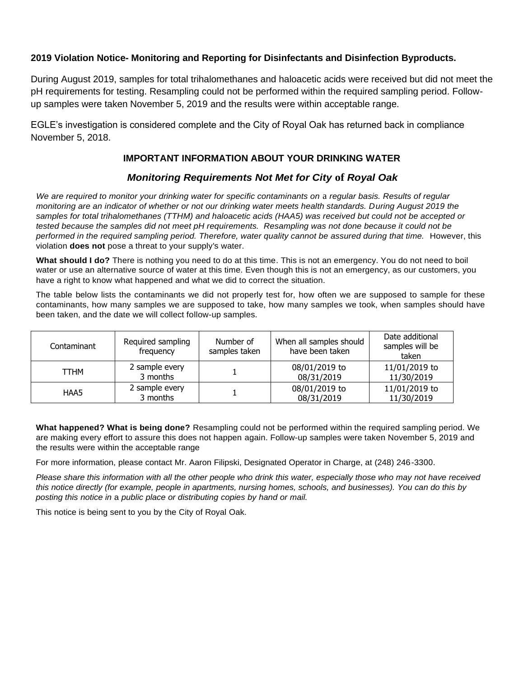# **2019 Violation Notice- Monitoring and Reporting for Disinfectants and Disinfection Byproducts.**

During August 2019, samples for total trihalomethanes and haloacetic acids were received but did not meet the pH requirements for testing. Resampling could not be performed within the required sampling period. Followup samples were taken November 5, 2019 and the results were within acceptable range.

EGLE's investigation is considered complete and the City of Royal Oak has returned back in compliance November 5, 2018.

# **IMPORTANT INFORMATION ABOUT YOUR DRINKING WATER**

# *Monitoring Requirements Not Met for City* **of** *Royal Oak*

*We are required to monitor your drinking water for specific contaminants on* a *regular basis. Results of regular monitoring are an indicator of whether or not our drinking water meets health standards. During August 2019 the samples for total trihalomethanes (TTHM) and haloacetic acids (HAA5) was received but could not be accepted or tested because the samples did not meet pH requirements. Resampling was not done because it could not be performed in the required sampling period. Therefore, water quality cannot be assured during that time.* However, this violation **does not** pose a threat to your supply's water.

**What should I do?** There is nothing you need to do at this time. This is not an emergency. You do not need to boil water or use an alternative source of water at this time. Even though this is not an emergency, as our customers, you have a right to know what happened and what we did to correct the situation.

The table below lists the contaminants we did not properly test for, how often we are supposed to sample for these contaminants, how many samples we are supposed to take, how many samples we took, when samples should have been taken, and the date we will collect follow-up samples.

| Contaminant | Required sampling<br>frequency | Number of<br>samples taken | When all samples should<br>have been taken | Date additional<br>samples will be<br>taken |
|-------------|--------------------------------|----------------------------|--------------------------------------------|---------------------------------------------|
| TTHM        | 2 sample every<br>3 months     |                            | 08/01/2019 to<br>08/31/2019                | 11/01/2019 to<br>11/30/2019                 |
| HAA5        | 2 sample every<br>3 months     |                            | 08/01/2019 to<br>08/31/2019                | 11/01/2019 to<br>11/30/2019                 |

**What happened? What is being done?** Resampling could not be performed within the required sampling period. We are making every effort to assure this does not happen again. Follow-up samples were taken November 5, 2019 and the results were within the acceptable range

For more information, please contact Mr. Aaron Filipski, Designated Operator in Charge, at (248) 246-3300.

*Please share this information with all the other people who drink this water, especially those who may not have received this notice directly (for example, people in apartments, nursing homes, schools, and businesses). You can do this by posting this notice in* a *public place or distributing copies by hand or mail.*

This notice is being sent to you by the City of Royal Oak.